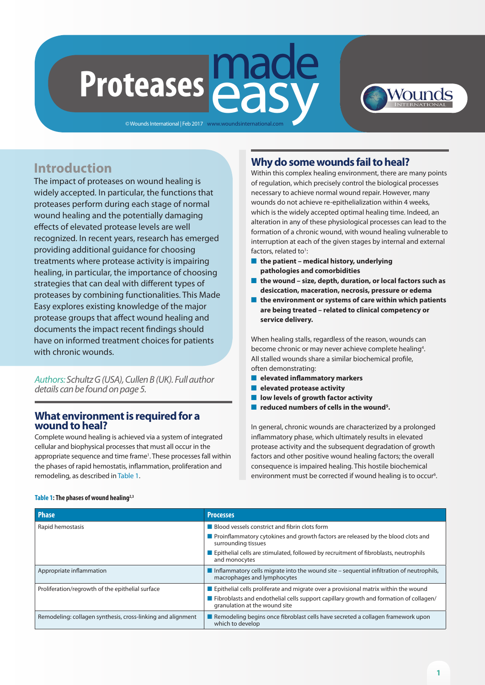# made **Easy Proteases**

© Wounds International | Feb 2017 www.woundsinternational.com



# **Introduction**

The impact of proteases on wound healing is widely accepted. In particular, the functions that proteases perform during each stage of normal wound healing and the potentially damaging effects of elevated protease levels are well recognized. In recent years, research has emerged providing additional guidance for choosing treatments where protease activity is impairing healing, in particular, the importance of choosing strategies that can deal with different types of proteases by combining functionalities. This Made Easy explores existing knowledge of the major protease groups that affect wound healing and documents the impact recent findings should have on informed treatment choices for patients with chronic wounds.

*Authors: Schultz G (USA), Cullen B (UK). Full author details can be found on page 5.*

### **What environment is required for a wound to heal?**

Complete wound healing is achieved via a system of integrated cellular and biophysical processes that must all occur in the appropriate sequence and time frame<sup>1</sup>. These processes fall within the phases of rapid hemostatis, inflammation, proliferation and remodeling, as described in Table 1.

# **Why do some wounds fail to heal?**

Within this complex healing environment, there are many points of regulation, which precisely control the biological processes necessary to achieve normal wound repair. However, many wounds do not achieve re-epithelialization within 4 weeks, which is the widely accepted optimal healing time. Indeed, an alteration in any of these physiological processes can lead to the formation of a chronic wound, with wound healing vulnerable to interruption at each of the given stages by internal and external factors, related to<sup>1</sup>:

- the patient medical history, underlying **pathologies and comorbidities**
- the wound size, depth, duration, or local factors such as **desiccation, maceration, necrosis, pressure or edema**
- **n** the environment or systems of care within which patients **are being treated – related to clinical competency or service delivery.**

When healing stalls, regardless of the reason, wounds can become chronic or may never achieve complete healing<sup>4</sup>. All stalled wounds share a similar biochemical profile, often demonstrating:

- n **elevated inflammatory markers**
- n **elevated protease activity**
- **low levels of growth factor activity**
- reduced numbers of cells in the wound<sup>5</sup>.

In general, chronic wounds are characterized by a prolonged inflammatory phase, which ultimately results in elevated protease activity and the subsequent degradation of growth factors and other positive wound healing factors; the overall consequence is impaired healing. This hostile biochemical environment must be corrected if wound healing is to occur<sup>6</sup>.

| <b>Phase</b>                                                | <b>Processes</b>                                                                                                          |
|-------------------------------------------------------------|---------------------------------------------------------------------------------------------------------------------------|
| Rapid hemostasis                                            | ■ Blood vessels constrict and fibrin clots form                                                                           |
|                                                             | Proinflammatory cytokines and growth factors are released by the blood clots and<br>surrounding tissues                   |
|                                                             | Epithelial cells are stimulated, followed by recruitment of fibroblasts, neutrophils<br>and monocytes                     |
| Appropriate inflammation                                    | Inflammatory cells migrate into the wound site $-$ sequential infiltration of neutrophils,<br>macrophages and lymphocytes |
| Proliferation/regrowth of the epithelial surface            | <b>E</b> Epithelial cells proliferate and migrate over a provisional matrix within the wound                              |
|                                                             | Fibroblasts and endothelial cells support capillary growth and formation of collagen/<br>granulation at the wound site    |
| Remodeling: collagen synthesis, cross-linking and alignment | Remodeling begins once fibroblast cells have secreted a collagen framework upon<br>which to develop                       |

#### **Table 1: The phases of wound healing2,3**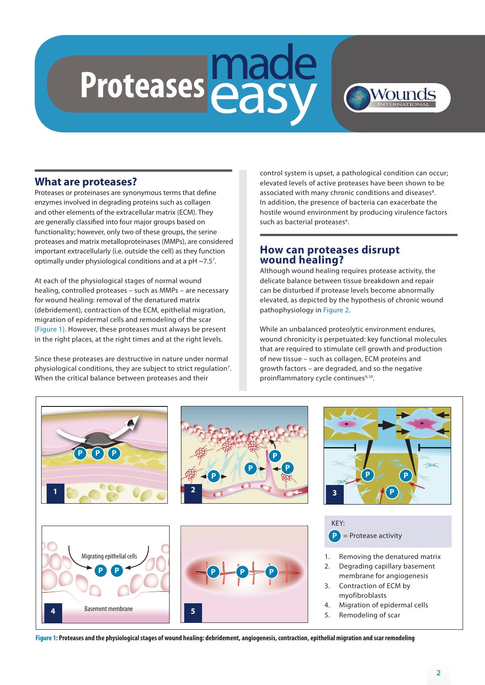# made Proteases **easy**

# Wounds

## **What are proteases?**

Proteases or proteinases are synonymous terms that define enzymes involved in degrading proteins such as collagen and other elements of the extracellular matrix (ECM). They are generally classified into four major groups based on functionality; however, only two of these groups, the serine proteases and matrix metalloproteinases (MMPs), are considered important extracellularly (i.e. outside the cell) as they function optimally under physiological conditions and at a pH ~7.5<sup>7</sup>.

At each of the physiological stages of normal wound healing, controlled proteases – such as MMPs – are necessary for wound healing: removal of the denatured matrix (debridement), contraction of the ECM, epithelial migration, migration of epidermal cells and remodeling of the scar (Figure 1). However, these proteases must always be present in the right places, at the right times and at the right levels.

Since these proteases are destructive in nature under normal physiological conditions, they are subject to strict regulation<sup>7</sup>. When the critical balance between proteases and their

control system is upset, a pathological condition can occur; elevated levels of active proteases have been shown to be associated with many chronic conditions and diseases<sup>8</sup>. In addition, the presence of bacteria can exacerbate the hostile wound environment by producing virulence factors such as bacterial proteases<sup>6</sup>.

## **How can proteases disrupt wound healing?**

Although wound healing requires protease activity, the delicate balance between tissue breakdown and repair can be disturbed if protease levels become abnormally elevated, as depicted by the hypothesis of chronic wound pathophysiology in Figure 2.

While an unbalanced proteolytic environment endures, wound chronicity is perpetuated: key functional molecules that are required to stimulate cell growth and production of new tissue – such as collagen, ECM proteins and growth factors – are degraded, and so the negative proinflammatory cycle continues<sup>9,10</sup>.



**Figure 1: Proteases and the physiological stages of wound healing: debridement, angiogenesis, contraction, epithelial migration and scar remodeling**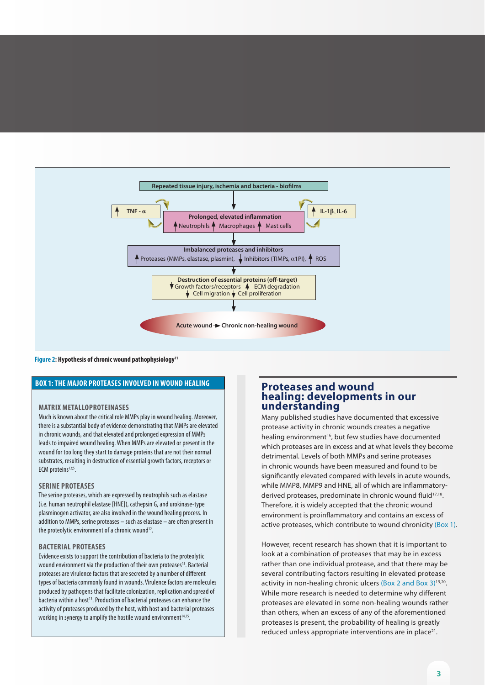

**Figure 2: Hypothesis of chronic wound pathophysiology11**

#### **BOX 1: THE MAJOR PROTEASES INVOLVED IN WOUND HEALING**

#### **MATRIX METALLOPROTEINASES**

Much is known about the critical role MMPs play in wound healing. Moreover, there is a substantial body of evidence demonstrating that MMPs are elevated in chronic wounds, and that elevated and prolonged expression of MMPs leads to impaired wound healing. When MMPs are elevated or present in the wound for too long they start to damage proteins that are not their normal substrates, resulting in destruction of essential growth factors, receptors or ECM proteins<sup>12;5</sup>.

#### **SERINE PROTEASES**

The serine proteases, which are expressed by neutrophils such as elastase (i.e. human neutrophil elastase [HNE]), cathepsin G, and urokinase-type plasminogen activator, are also involved in the wound healing process. In addition to MMPs, serine proteases – such as elastase – are often present in the proteolytic environment of a chronic wound<sup>12</sup>.

#### **BACTERIAL PROTEASES**

Evidence exists to support the contribution of bacteria to the proteolytic wound environment via the production of their own proteases<sup>13</sup>. Bacterial proteases are virulence factors that are secreted by a number of different types of bacteria commonly found in wounds. Virulence factors are molecules produced by pathogens that facilitate colonization, replication and spread of bacteria within a host<sup>13</sup>. Production of bacterial proteases can enhance the activity of proteases produced by the host, with host and bacterial proteases working in synergy to amplify the hostile wound environment<sup>14,15</sup>.

#### **Proteases and wound healing: developments in our understanding**

Many published studies have documented that excessive protease activity in chronic wounds creates a negative healing environment<sup>16</sup>, but few studies have documented which proteases are in excess and at what levels they become detrimental. Levels of both MMPs and serine proteases in chronic wounds have been measured and found to be significantly elevated compared with levels in acute wounds, while MMP8, MMP9 and HNE, all of which are inflammatoryderived proteases, predominate in chronic wound fluid<sup>17,18</sup>. Therefore, it is widely accepted that the chronic wound environment is proinflammatory and contains an excess of active proteases, which contribute to wound chronicity (Box 1).

However, recent research has shown that it is important to look at a combination of proteases that may be in excess rather than one individual protease, and that there may be several contributing factors resulting in elevated protease activity in non-healing chronic ulcers (Box 2 and Box 3)<sup>19,20</sup>. While more research is needed to determine why different proteases are elevated in some non-healing wounds rather than others, when an excess of any of the aforementioned proteases is present, the probability of healing is greatly reduced unless appropriate interventions are in place<sup>21</sup>.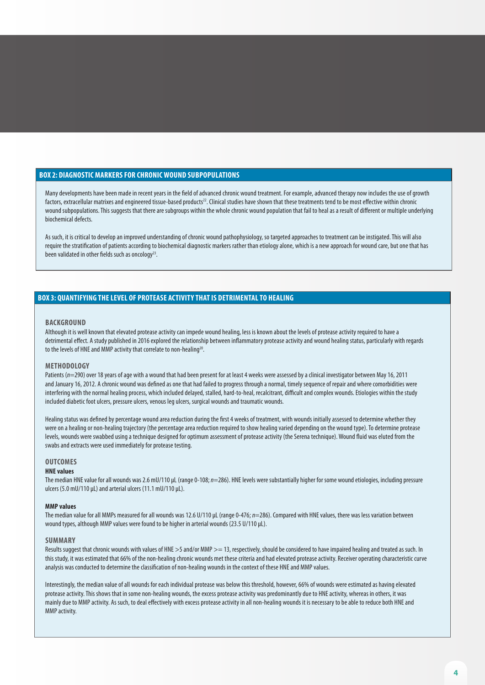#### **BOX 2: DIAGNOSTIC MARKERS FOR CHRONIC WOUND SUBPOPULATIONS**

Many developments have been made in recent years in the field of advanced chronic wound treatment. For example, advanced therapy now includes the use of growth factors, extracellular matrixes and engineered tissue-based products<sup>22</sup>. Clinical studies have shown that these treatments tend to be most effective within chronic wound subpopulations. This suggests that there are subgroups within the whole chronic wound population that fail to heal as a result of different or multiple underlying biochemical defects.

As such, it is critical to develop an improved understanding of chronic wound pathophysiology, so targeted approaches to treatment can be instigated. This will also require the stratification of patients according to biochemical diagnostic markers rather than etiology alone, which is a new approach for wound care, but one that has been validated in other fields such as oncology<sup>23</sup>.

#### **BOX 3: QUANTIFYING THE LEVEL OF PROTEASE ACTIVITY THAT IS DETRIMENTAL TO HEALING**

#### **BACKGROUND**

Although it is well known that elevated protease activity can impede wound healing, less is known about the levels of protease activity required to have a detrimental effect. A study published in 2016 explored the relationship between inflammatory protease activity and wound healing status, particularly with regards to the levels of HNE and MMP activity that correlate to non-healing<sup>20</sup>.

#### **METHODOLOGY**

Patients ( $n=290$ ) over 18 years of age with a wound that had been present for at least 4 weeks were assessed by a clinical investigator between May 16, 2011 and January 16, 2012. A chronic wound was defined as one that had failed to progress through a normal, timely sequence of repair and where comorbidities were interfering with the normal healing process, which included delayed, stalled, hard-to-heal, recalcitrant, difficult and complex wounds. Etiologies within the study included diabetic foot ulcers, pressure ulcers, venous leg ulcers, surgical wounds and traumatic wounds.

Healing status was defined by percentage wound area reduction during the first 4 weeks of treatment, with wounds initially assessed to determine whether they were on a healing or non-healing trajectory (the percentage area reduction required to show healing varied depending on the wound type). To determine protease levels, wounds were swabbed using a technique designed for optimum assessment of protease activity (the Serena technique). Wound fluid was eluted from the swabs and extracts were used immediately for protease testing.

#### **OUTCOMES**

#### **HNE values**

The median HNE value for all wounds was 2.6 mU/110 μL (range 0-108; *n*=286). HNE levels were substantially higher for some wound etiologies, including pressure ulcers (5.0 mU/110 μL) and arterial ulcers (11.1 mU/110 μL).

#### **MMP values**

The median value for all MMPs measured for all wounds was 12.6 U/110 μL (range 0-476; *n*=286). Compared with HNE values, there was less variation between wound types, although MMP values were found to be higher in arterial wounds (23.5 U/110 μL).

#### **SUMMARY**

Results suggest that chronic wounds with values of HNE >5 and/or MMP >= 13, respectively, should be considered to have impaired healing and treated as such. In this study, it was estimated that 66% of the non-healing chronic wounds met these criteria and had elevated protease activity. Receiver operating characteristic curve analysis was conducted to determine the classification of non-healing wounds in the context of these HNE and MMP values.

Interestingly, the median value of all wounds for each individual protease was below this threshold, however, 66% of wounds were estimated as having elevated protease activity. This shows that in some non-healing wounds, the excess protease activity was predominantly due to HNE activity, whereas in others, it was mainly due to MMP activity. As such, to deal effectively with excess protease activity in all non-healing wounds it is necessary to be able to reduce both HNE and MMP activity.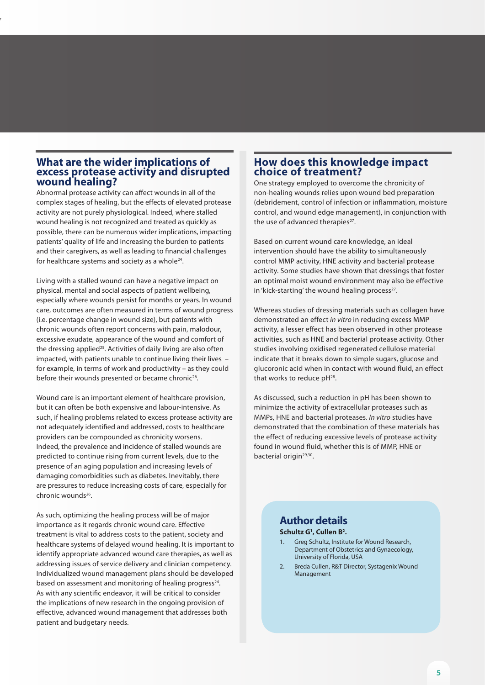#### **What are the wider implications of excess protease activity and disrupted wound healing?**

w

Abnormal protease activity can affect wounds in all of the complex stages of healing, but the effects of elevated protease activity are not purely physiological. Indeed, where stalled wound healing is not recognized and treated as quickly as possible, there can be numerous wider implications, impacting patients' quality of life and increasing the burden to patients and their caregivers, as well as leading to financial challenges for healthcare systems and society as a whole<sup>24</sup>.

Living with a stalled wound can have a negative impact on physical, mental and social aspects of patient wellbeing, especially where wounds persist for months or years. In wound care, outcomes are often measured in terms of wound progress (i.e. percentage change in wound size), but patients with chronic wounds often report concerns with pain, malodour, excessive exudate, appearance of the wound and comfort of the dressing applied<sup>25</sup>. Activities of daily living are also often impacted, with patients unable to continue living their lives – for example, in terms of work and productivity – as they could before their wounds presented or became chronic<sup>26</sup>.

Wound care is an important element of healthcare provision, but it can often be both expensive and labour-intensive. As such, if healing problems related to excess protease activity are not adequately identified and addressed, costs to healthcare providers can be compounded as chronicity worsens. Indeed, the prevalence and incidence of stalled wounds are predicted to continue rising from current levels, due to the presence of an aging population and increasing levels of damaging comorbidities such as diabetes. Inevitably, there are pressures to reduce increasing costs of care, especially for chronic wounds26.

As such, optimizing the healing process will be of major importance as it regards chronic wound care. Effective treatment is vital to address costs to the patient, society and healthcare systems of delayed wound healing. It is important to identify appropriate advanced wound care therapies, as well as addressing issues of service delivery and clinician competency. Individualized wound management plans should be developed based on assessment and monitoring of healing progress $24$ . As with any scientific endeavor, it will be critical to consider the implications of new research in the ongoing provision of effective, advanced wound management that addresses both patient and budgetary needs.

#### **How does this knowledge impact choice of treatment?**

One strategy employed to overcome the chronicity of non-healing wounds relies upon wound bed preparation (debridement, control of infection or inflammation, moisture control, and wound edge management), in conjunction with the use of advanced therapies<sup>27</sup>.

Based on current wound care knowledge, an ideal intervention should have the ability to simultaneously control MMP activity, HNE activity and bacterial protease activity. Some studies have shown that dressings that foster an optimal moist wound environment may also be effective in 'kick-starting' the wound healing process $27$ .

Whereas studies of dressing materials such as collagen have demonstrated an effect *in vitro* in reducing excess MMP activity, a lesser effect has been observed in other protease activities, such as HNE and bacterial protease activity. Other studies involving oxidised regenerated cellulose material indicate that it breaks down to simple sugars, glucose and glucoronic acid when in contact with wound fluid, an effect that works to reduce pH<sup>28</sup>.

As discussed, such a reduction in pH has been shown to minimize the activity of extracellular proteases such as MMPs, HNE and bacterial proteases. *In vitro* studies have demonstrated that the combination of these materials has the effect of reducing excessive levels of protease activity found in wound fluid, whether this is of MMP, HNE or bacterial origin<sup>29,30</sup>.

# **Author details**

**Schultz G1 , Cullen B2 .**

- 1. Greg Schultz, Institute for Wound Research, Department of Obstetrics and Gynaecology, University of Florida, USA
- 2. Breda Cullen, R&T Director, Systagenix Wound Management